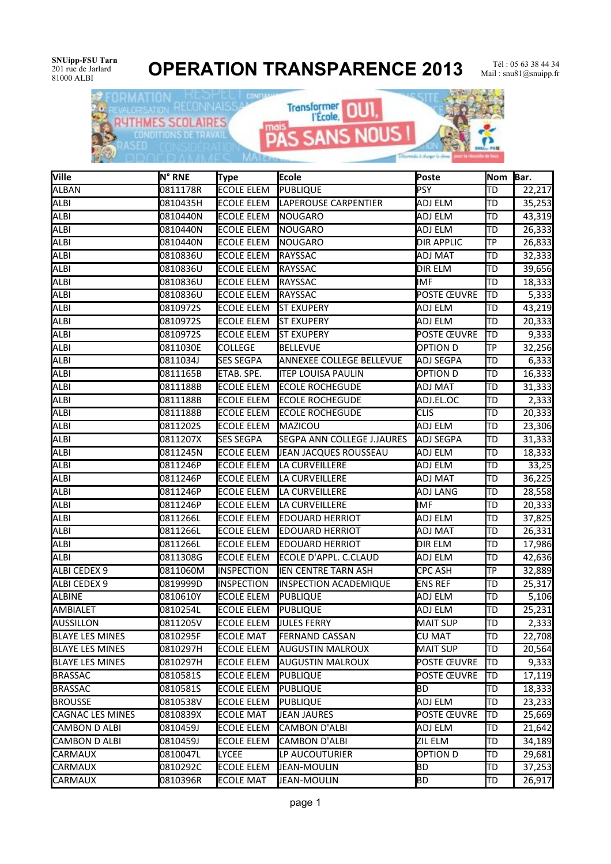**SNUipp-FSU Tarn** 201 rue de Jarlard

## **OPERATION TRANSPARENCE 2013**

 $\begin{array}{c} \text{T\'el : 05 63 38 44 34}\\ \text{Mail : snu81@snuipp.fr} \end{array}$ 



| <b>Ville</b>            | <b>N° RNE</b> | <b>Type</b>       | Ecole                             | <b>Poste</b>      | Nom Bar. |        |
|-------------------------|---------------|-------------------|-----------------------------------|-------------------|----------|--------|
| <b>ALBAN</b>            | 0811178R      | <b>ECOLE ELEM</b> | <b>PUBLIQUE</b>                   | PSY               | ΠD       | 22,217 |
| <b>ALBI</b>             | 0810435H      | ecole elem        | LAPEROUSE CARPENTIER              | ADJ ELM           | TD       | 35,253 |
| <b>ALBI</b>             | 0810440N      | <b>ECOLE ELEM</b> | NOUGARO                           | ADJ ELM           | TD       | 43,319 |
| <b>ALBI</b>             | 0810440N      | <b>ECOLE ELEM</b> | <b>INOUGARO</b>                   | ADJ ELM           | ТD       | 26,333 |
| <b>ALBI</b>             | 0810440N      | <b>ECOLE ELEM</b> | <b>NOUGARO</b>                    | <b>DIR APPLIC</b> | TР       | 26,833 |
| <b>ALBI</b>             | 0810836U      | <b>ECOLE ELEM</b> | <b>RAYSSAC</b>                    | <b>ADJ MAT</b>    | TD       | 32,333 |
| <b>ALBI</b>             | 0810836U      | <b>ECOLE ELEM</b> | RAYSSAC                           | <b>DIR ELM</b>    | TD       | 39,656 |
| <b>ALBI</b>             | 0810836U      | <b>ECOLE ELEM</b> | RAYSSAC                           | <b>IMF</b>        | TD       | 18,333 |
| <b>ALBI</b>             | 0810836U      | <b>ECOLE ELEM</b> | <b>RAYSSAC</b>                    | POSTE ŒUVRE       | TD       | 5,333  |
| ALBI                    | 0810972S      | <b>ECOLE ELEM</b> | <b>ST EXUPERY</b>                 | ADJ ELM           | TD       | 43,219 |
| <b>ALBI</b>             | 0810972S      | <b>ECOLE ELEM</b> | <b>ST EXUPERY</b>                 | ADJ ELM           | TD       | 20,333 |
| <b>ALBI</b>             | 0810972S      | <b>ECOLE ELEM</b> | <b>ST EXUPERY</b>                 | POSTE ŒUVRE       | TD       | 9,333  |
| <b>ALBI</b>             | 0811030E      | <b>COLLEGE</b>    | <b>BELLEVUE</b>                   | <b>OPTION D</b>   | TР       | 32,256 |
| <b>ALBI</b>             | 0811034J      | <b>SES SEGPA</b>  | <b>ANNEXEE COLLEGE BELLEVUE</b>   | <b>ADJ SEGPA</b>  | TD       | 6,333  |
| <b>ALBI</b>             | 0811165B      | ETAB. SPE.        | <b>ITEP LOUISA PAULIN</b>         | OPTION D          | TD       | 16,333 |
| <b>ALBI</b>             | 0811188B      | ECOLE ELEM        | <b>ECOLE ROCHEGUDE</b>            | ADJ MAT           | TD       | 31,333 |
| <b>ALBI</b>             | 0811188B      | ECOLE ELEM        | <b>ECOLE ROCHEGUDE</b>            | ADJ.EL.OC         | TD       | 2,333  |
| <b>ALBI</b>             | 0811188B      | ECOLE ELEM        | <b>ECOLE ROCHEGUDE</b>            | <b>CLIS</b>       | TD       | 20,333 |
| <b>ALBI</b>             | 0811202S      | ECOLE ELEM        | MAZICOU                           | <b>ADJ ELM</b>    | ТD       | 23,306 |
| <b>ALBI</b>             | 0811207X      | <b>SES SEGPA</b>  | <b>SEGPA ANN COLLEGE J.JAURES</b> | ADJ SEGPA         | TD       | 31,333 |
| <b>ALBI</b>             | 0811245N      | <b>ECOLE ELEM</b> | JEAN JACQUES ROUSSEAU             | <b>ADJ ELM</b>    | TD       | 18,333 |
| <b>ALBI</b>             | 0811246P      | ECOLE ELEM        | LA CURVEILLERE                    | ADJ ELM           | TD       | 33,25  |
| <b>ALBI</b>             | 0811246P      | ECOLE ELEM        | LA CURVEILLERE                    | ADJ MAT           | ТD       | 36,225 |
| <b>ALBI</b>             | 0811246P      | ECOLE ELEM        | LA CURVEILLERE                    | <b>ADJ LANG</b>   | TD       | 28,558 |
| ALBI                    | 0811246P      | <b>ECOLE ELEM</b> | LA CURVEILLERE                    | <b>IMF</b>        | TD       | 20,333 |
| <b>ALBI</b>             | 0811266L      | <b>ECOLE ELEM</b> | <b>EDOUARD HERRIOT</b>            | ADJ ELM           | TD       | 37,825 |
| <b>ALBI</b>             | 0811266L      | ECOLE ELEM        | <b>EDOUARD HERRIOT</b>            | ADJ MAT           | ΠD       | 26,331 |
| <b>ALBI</b>             | 0811266L      | <b>ECOLE ELEM</b> | <b>EDOUARD HERRIOT</b>            | <b>DIR ELM</b>    | ΠD       | 17,986 |
| <b>ALBI</b>             | 0811308G      | <b>ECOLE ELEM</b> | ECOLE D'APPL. C.CLAUD             | ADJ ELM           | TD       | 42,636 |
| ALBI CEDEX 9            | 0811060M      | <b>INSPECTION</b> | <b>IEN CENTRE TARN ASH</b>        | <b>CPC ASH</b>    | TP       | 32,889 |
| ALBI CEDEX 9            | 0819999D      | <b>INSPECTION</b> | <b>INSPECTION ACADEMIQUE</b>      | <b>ENS REF</b>    | TD       | 25,317 |
| <b>ALBINE</b>           | 0810610Y      | <b>ECOLE ELEM</b> | <b>PUBLIQUE</b>                   | <b>ADJ ELM</b>    | TD       | 5,106  |
| <b>AMBIALET</b>         | 0810254L      | <b>ECOLE ELEM</b> | PUBLIQUE                          | ADJ ELM           | TD       | 25,231 |
| <b>AUSSILLON</b>        | 0811205V      | ECOLE ELEM        | <b>JULES FERRY</b>                | <b>MAIT SUP</b>   | TD       | 2,333  |
| <b>BLAYE LES MINES</b>  | 0810295F      | <b>ECOLE MAT</b>  | <b>FERNAND CASSAN</b>             | <b>CU MAT</b>     | TD       | 22,708 |
| <b>BLAYE LES MINES</b>  | 0810297H      | <b>ECOLE ELEM</b> | <b>AUGUSTIN MALROUX</b>           | <b>MAIT SUP</b>   | TD       | 20,564 |
| <b>BLAYE LES MINES</b>  | 0810297H      | <b>ECOLE ELEM</b> | <b>AUGUSTIN MALROUX</b>           | POSTE ŒUVRE       | ltd      | 9,333  |
| <b>BRASSAC</b>          | 0810581S      | <b>ECOLE ELEM</b> | <b>PUBLIQUE</b>                   | POSTE ŒUVRE       | ltd      | 17,119 |
| <b>BRASSAC</b>          | 0810581S      | <b>ECOLE ELEM</b> | <b>PUBLIQUE</b>                   | BD                | TD       | 18,333 |
| <b>BROUSSE</b>          | 0810538V      | <b>ECOLE ELEM</b> | PUBLIQUE                          | ADJ ELM           | TD       | 23,233 |
| <b>CAGNAC LES MINES</b> | 0810839X      | <b>ECOLE MAT</b>  | <b>JEAN JAURES</b>                | POSTE ŒUVRE       | TD       | 25,669 |
| <b>CAMBON D ALBI</b>    | 0810459J      | <b>ECOLE ELEM</b> | <b>CAMBON D'ALBI</b>              | <b>ADJ ELM</b>    | TD       | 21,642 |
| <b>CAMBON D ALBI</b>    | 0810459J      | <b>ECOLE ELEM</b> | <b>CAMBON D'ALBI</b>              | ZIL ELM           | TD       | 34,189 |
| <b>CARMAUX</b>          | 0810047L      | <b>LYCEE</b>      | LP AUCOUTURIER                    | OPTION D          | TD       | 29,681 |
| <b>CARMAUX</b>          | 0810292C      | <b>ECOLE ELEM</b> | JEAN-MOULIN                       | BD                | TD       | 37,253 |
| <b>CARMAUX</b>          | 0810396R      | <b>ECOLE MAT</b>  | JEAN-MOULIN                       | BD                | TD       | 26,917 |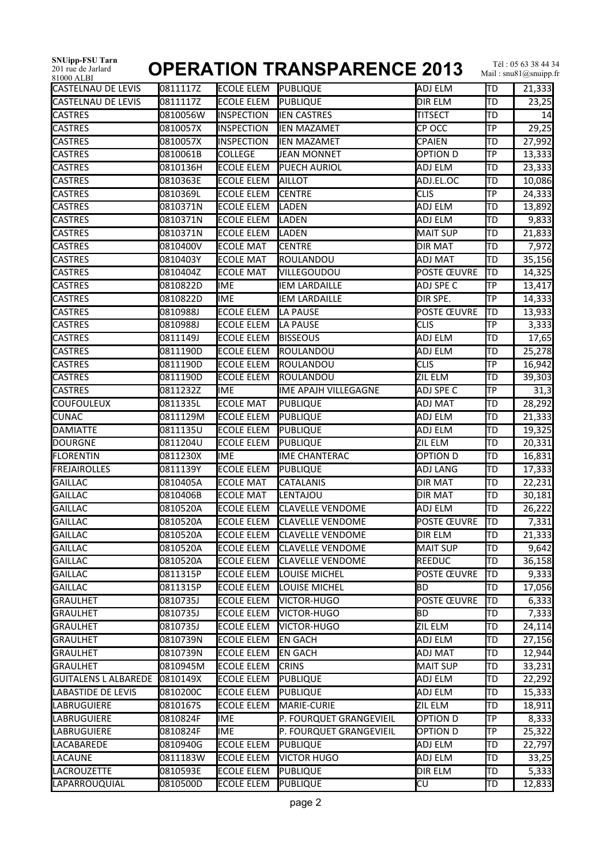| <b>SNUipp-FSU Tarn</b><br>201 rue de Jarlard<br>81000_ALBI |          |                   | <b>OPERATION TRANSPARENCE 2013</b> |                 |           | Tél: 05 63 38 44 34<br>Mail: snu81@snuipp.fr |
|------------------------------------------------------------|----------|-------------------|------------------------------------|-----------------|-----------|----------------------------------------------|
| <b>CASTELNAU DE LEVIS</b>                                  | 0811117Z | <b>ECOLE ELEM</b> | <b>PUBLIQUE</b>                    | ADJ ELM         | TD        | 21,333                                       |
| <b>CASTELNAU DE LEVIS</b>                                  | 0811117Z | <b>ECOLE ELEM</b> | PUBLIQUE                           | <b>DIR ELM</b>  | TD        | 23,25                                        |
| <b>CASTRES</b>                                             | 0810056W | INSPECTION        | <b>IEN CASTRES</b>                 | <b>TITSECT</b>  | ΠD        | 14                                           |
| <b>CASTRES</b>                                             | 0810057X | <b>INSPECTION</b> | <b>IEN MAZAMET</b>                 | CP OCC          | TP        | 29,25                                        |
| <b>CASTRES</b>                                             | 0810057X | INSPECTION        | <b>IEN MAZAMET</b>                 | <b>CPAIEN</b>   | TD        | 27,992                                       |
| <b>CASTRES</b>                                             | 0810061B | <b>COLLEGE</b>    | <b>JEAN MONNET</b>                 | OPTION D        | TР        | 13,333                                       |
| <b>CASTRES</b>                                             | 0810136H | ECOLE ELEM        | <b>PUECH AURIOL</b>                | <b>ADJ ELM</b>  | TD        | 23,333                                       |
| <b>CASTRES</b>                                             | 0810363E | ECOLE ELEM        | <b>AILLOT</b>                      | ADJ.EL.OC       | TD        | 10,086                                       |
| <b>CASTRES</b>                                             | 0810369L | <b>ECOLE ELEM</b> | <b>CENTRE</b>                      | <b>CLIS</b>     | TР        | 24,333                                       |
| <b>CASTRES</b>                                             | 0810371N | <b>ECOLE ELEM</b> | <b>LADEN</b>                       | <b>ADJ ELM</b>  | TD        | 13,892                                       |
| <b>CASTRES</b>                                             | 0810371N | ECOLE ELEM        | <b>LADEN</b>                       | <b>ADJ ELM</b>  | ΠD        | 9,833                                        |
| <b>CASTRES</b>                                             | 0810371N | <b>ECOLE ELEM</b> | <b>LADEN</b>                       | <b>MAIT SUP</b> | TD        | 21,833                                       |
| <b>CASTRES</b>                                             | 0810400V | <b>ECOLE MAT</b>  | <b>CENTRE</b>                      | <b>DIR MAT</b>  | ΠD        | 7,972                                        |
| <b>CASTRES</b>                                             | 0810403Y | <b>ECOLE MAT</b>  | ROULANDOU                          | ADJ MAT         | ΤD        | 35,156                                       |
| <b>CASTRES</b>                                             | 0810404Z | <b>ECOLE MAT</b>  | VILLEGOUDOU                        | POSTE ŒUVRE     | ΤD        | 14,325                                       |
| <b>CASTRES</b>                                             | 0810822D | <b>IME</b>        | <b>IEM LARDAILLE</b>               | ADJ SPE C       | ТP        | 13,417                                       |
| <b>CASTRES</b>                                             | 0810822D | IIME              | <b>IEM LARDAILLE</b>               | DIR SPE.        | TР        | 14,333                                       |
| <b>CASTRES</b>                                             | 0810988J | <b>ECOLE ELEM</b> | <b>LA PAUSE</b>                    | POSTE ŒUVRE     | TD        | 13,933                                       |
| <b>CASTRES</b>                                             | 0810988J | <b>ECOLE ELEM</b> | LA PAUSE                           | <b>CLIS</b>     | TP        | 3,333                                        |
| <b>CASTRES</b>                                             | 0811149J | <b>ECOLE ELEM</b> | <b>BISSEOUS</b>                    | ADJ ELM         | TD        | 17,65                                        |
| <b>CASTRES</b>                                             | 0811190D | <b>ECOLE ELEM</b> | ROULANDOU                          | <b>ADJ ELM</b>  | TD        | 25,278                                       |
| <b>CASTRES</b>                                             | 0811190D | <b>ECOLE ELEM</b> | ROULANDOU                          | <b>CLIS</b>     | TР        | 16,942                                       |
| <b>CASTRES</b>                                             | 0811190D | <b>ECOLE ELEM</b> | ROULANDOU                          | ZIL ELM         | TD        | 39,303                                       |
| <b>CASTRES</b>                                             | 0811232Z | <b>IIME</b>       | <b>IME APAJH VILLEGAGNE</b>        | ADJ SPE C       | ТP        | 31,3                                         |
| <b>COUFOULEUX</b>                                          | 0811335L | <b>ECOLE MAT</b>  | PUBLIQUE                           | ADJ MAT         | TD        | 28,292                                       |
| <b>CUNAC</b>                                               | 0811129M | <b>ECOLE ELEM</b> | PUBLIQUE                           | <b>ADJ ELM</b>  | TD        | 21,333                                       |
| <b>DAMIATTE</b>                                            | 0811135U | <b>ECOLE ELEM</b> | <b>PUBLIQUE</b>                    | <b>ADJ ELM</b>  | TD        | 19,325                                       |
| <b>DOURGNE</b>                                             | 0811204U | ECOLE ELEM        | <b>PUBLIQUE</b>                    | ZIL ELM         | TD        | 20,331                                       |
| <b>FLORENTIN</b>                                           | 0811230X | IME               | <b>IME CHANTERAC</b>               | Option d        | TD        | 16,831                                       |
| <b>FREJAIROLLES</b>                                        | 0811139Y | <b>ECOLE ELEM</b> | <b>PUBLIQUE</b>                    | <b>ADJ LANG</b> | TD        | 17,333                                       |
| <b>GAILLAC</b>                                             | 0810405A | <b>ECOLE MAT</b>  | <b>CATALANIS</b>                   | <b>DIR MAT</b>  | ΠD        | 22,231                                       |
| <b>GAILLAC</b>                                             | 0810406B | <b>ECOLE MAT</b>  | LENTAJOU                           | <b>DIR MAT</b>  | TD        | 30,181                                       |
| <b>GAILLAC</b>                                             | 0810520A | <b>ECOLE ELEM</b> | <b>ICLAVELLE VENDOME</b>           | ADJ ELM         | ltd       | 26,222                                       |
| <b>GAILLAC</b>                                             | 0810520A |                   | ECOLE ELEM CLAVELLE VENDOME        | POSTE ŒUVRE     | <b>TD</b> | 7,331                                        |
| <b>GAILLAC</b>                                             | 0810520A | <b>ECOLE ELEM</b> | <b>CLAVELLE VENDOME</b>            | DIR ELM         | TD        | 21,333                                       |
| <b>GAILLAC</b>                                             | 0810520A | <b>ECOLE ELEM</b> | <b>CLAVELLE VENDOME</b>            | <b>MAIT SUP</b> | TD        | 9,642                                        |
| <b>GAILLAC</b>                                             | 0810520A | <b>ECOLE ELEM</b> | <b>CLAVELLE VENDOME</b>            | REEDUC          | TD        | 36,158                                       |
| <b>GAILLAC</b>                                             | 0811315P | ECOLE ELEM        | LOUISE MICHEL                      | POSTE ŒUVRE     | TD        | 9,333                                        |
| <b>GAILLAC</b>                                             | 0811315P | <b>ECOLE ELEM</b> | LOUISE MICHEL                      | BD              | TD        | 17,056                                       |
| <b>GRAULHET</b>                                            | 0810735J | <b>ECOLE ELEM</b> | VICTOR-HUGO                        | POSTE ŒUVRE     | TD        | 6,333                                        |
| <b>GRAULHET</b>                                            | 0810735J | <b>ECOLE ELEM</b> | VICTOR-HUGO                        | BD              | TD        | 7,333                                        |
| <b>GRAULHET</b>                                            | 0810735J | <b>ECOLE ELEM</b> | VICTOR-HUGO                        | ZIL ELM         | TD        | 24,114                                       |
| <b>GRAULHET</b>                                            | 0810739N | ECOLE ELEM        | <b>EN GACH</b>                     | ADJ ELM         | TD        | 27,156                                       |
| <b>GRAULHET</b>                                            | 0810739N | <b>ECOLE ELEM</b> | <b>EN GACH</b>                     | ADJ MAT         | TD        | 12,944                                       |
| <b>GRAULHET</b>                                            | 0810945M | <b>ECOLE ELEM</b> | <b>CRINS</b>                       | <b>MAIT SUP</b> | TD        | 33,231                                       |
| <b>GUITALENS L ALBAREDE</b>                                | 0810149X | ECOLE ELEM        | <b>PUBLIQUE</b>                    | ADJ ELM         | TD        | 22,292                                       |
| <b>LABASTIDE DE LEVIS</b>                                  | 0810200C | <b>ECOLE ELEM</b> | <b>PUBLIQUE</b>                    | ADJ ELM         | TD        | 15,333                                       |
| <b>LABRUGUIERE</b>                                         | 0810167S | <b>ECOLE ELEM</b> | MARIE-CURIE                        | ZIL ELM         | TD        | 18,911                                       |
| <b>LABRUGUIERE</b>                                         | 0810824F | <b>IME</b>        | P. FOURQUET GRANGEVIEIL            | OPTION D        | <b>TP</b> |                                              |
|                                                            |          |                   | P. FOURQUET GRANGEVIEIL            | OPTION D        | <b>TP</b> | 8,333                                        |
| LABRUGUIERE                                                | 0810824F | IME               |                                    |                 |           | 25,322                                       |
| LACABAREDE                                                 | 0810940G | <b>ECOLE ELEM</b> | <b>PUBLIQUE</b>                    | ADJ ELM         | TD        | 22,797                                       |
| <b>LACAUNE</b>                                             | 0811183W | <b>ECOLE ELEM</b> | <b>VICTOR HUGO</b>                 | ADJ ELM         | TD        | 33,25                                        |
| LACROUZETTE                                                | 0810593E | <b>ECOLE ELEM</b> | <b>PUBLIQUE</b>                    | DIR ELM         | TD        | 5,333                                        |
| LAPARROUQUIAL                                              | 0810500D | <b>ECOLE ELEM</b> | <b>PUBLIQUE</b>                    | Cυ              | TD        | 12,833                                       |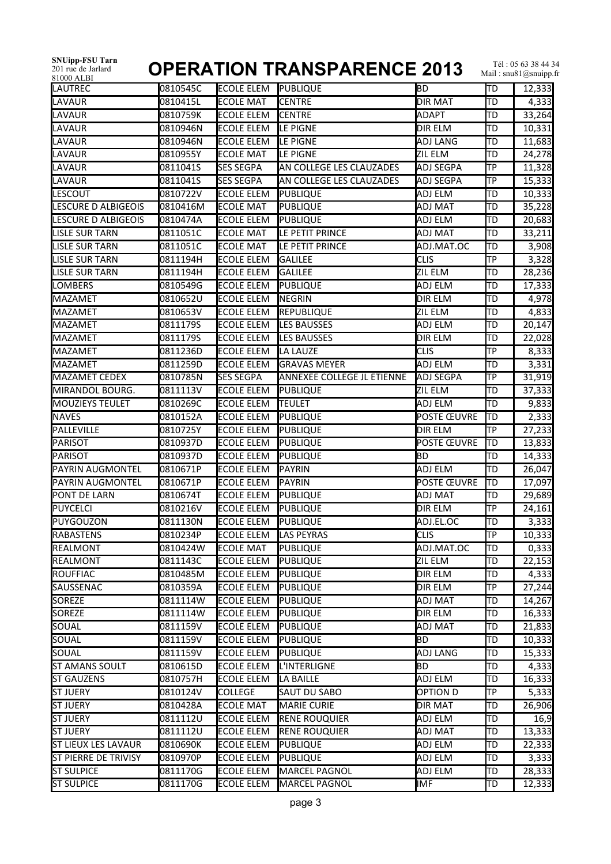| <b>LAUTREC</b>              | 0810545C | <b>ECOLE ELEM</b>          | <b>PUBLIQUE</b>                   | ВD               | TD              | 12,333 |
|-----------------------------|----------|----------------------------|-----------------------------------|------------------|-----------------|--------|
| LAVAUR                      | 0810415L | ECOLE MAT                  | <b>CENTRE</b>                     | <b>DIR MAT</b>   | ١тd             | 4,333  |
| LAVAUR                      | 0810759K | ECOLE ELEM                 | <b>CENTRE</b>                     | <b>ADAPT</b>     | TD              | 33,264 |
| LAVAUR                      | 0810946N | <b>ECOLE ELEM</b>          | <b>LE PIGNE</b>                   | <b>DIR ELM</b>   | TD              | 10,331 |
| LAVAUR                      | 0810946N | <b>ECOLE ELEM</b>          | <b>LE PIGNE</b>                   | ADJ LANG         | TD              | 11,683 |
| LAVAUR                      | 0810955Y | <b>ECOLE MAT</b>           | LE PIGNE                          | ZIL ELM          | TD              | 24,278 |
| LAVAUR                      | 0811041S | <b>SES SEGPA</b>           | AN COLLEGE LES CLAUZADES          | ADJ SEGPA        | TР              | 11,328 |
| LAVAUR                      | 0811041S | <b>SES SEGPA</b>           | AN COLLEGE LES CLAUZADES          | ADJ SEGPA        | TР              | 15,333 |
| <b>LESCOUT</b>              | 0810722V | ECOLE ELEM                 | <b>PUBLIQUE</b>                   | <b>ADJ ELM</b>   | TD              | 10,333 |
| <b>LESCURE D ALBIGEOIS</b>  | 0810416M | <b>ECOLE MAT</b>           | PUBLIQUE                          | <b>ADJ MAT</b>   | TD              | 35,228 |
| <b>LESCURE D ALBIGEOIS</b>  | 0810474A | ECOLE ELEM                 | PUBLIQUE                          | <b>ADJ ELM</b>   | TD              | 20,683 |
| <b>LISLE SUR TARN</b>       | 0811051C | <b>ECOLE MAT</b>           | LE PETIT PRINCE                   | <b>ADJ MAT</b>   | TD              | 33,211 |
| <b>LISLE SUR TARN</b>       | 0811051C | <b>ECOLE MAT</b>           | LE PETIT PRINCE                   | ADJ.MAT.OC       | TD              | 3,908  |
| <b>LISLE SUR TARN</b>       | 0811194H | ECOLE ELEM                 | GALILEE                           | <b>CLIS</b>      | ТP              | 3,328  |
| <b>LISLE SUR TARN</b>       | 0811194H | <b>ECOLE ELEM</b>          | <b>GALILEE</b>                    | ZIL ELM          | TD              | 28,236 |
| <b>LOMBERS</b>              | 0810549G | ECOLE ELEM                 | PUBLIQUE                          | <b>ADJ ELM</b>   | ΠD              | 17,333 |
| <b>MAZAMET</b>              | 0810652U | ECOLE ELEM                 | NEGRIN                            | <b>DIR ELM</b>   | TD              | 4,978  |
| <b>MAZAMET</b>              | 0810653V | ECOLE ELEM                 | <b>REPUBLIQUE</b>                 | ZIL ELM          | TD              | 4,833  |
| <b>MAZAMET</b>              | 0811179S | <b>ECOLE ELEM</b>          | <b>LES BAUSSES</b>                | <b>ADJ ELM</b>   | TD              | 20,147 |
| <b>MAZAMET</b>              | 0811179S | <b>ECOLE ELEM</b>          | <b>LES BAUSSES</b>                | <b>DIR ELM</b>   | TD              | 22,028 |
| <b>MAZAMET</b>              | 0811236D | <b>ECOLE ELEM</b>          | LA LAUZE                          | <b>CLIS</b>      | TР              | 8,333  |
| <b>MAZAMET</b>              | 0811259D | <b>ECOLE ELEM</b>          | <b>GRAVAS MEYER</b>               | ADJ ELM          | TD              | 3,331  |
| <b>MAZAMET CEDEX</b>        | 0810785N | <b>SES SEGPA</b>           | <b>ANNEXEE COLLEGE JL ETIENNE</b> | <b>ADJ SEGPA</b> | TР              | 31,919 |
| MIRANDOL BOURG.             | 0811113V | <b>ECOLE ELEM</b>          | <b>PUBLIQUE</b>                   | ZIL ELM          | ΠD              | 37,333 |
| <b>MOUZIEYS TEULET</b>      | 0810269C | ECOLE ELEM                 | <b>TEULET</b>                     | <b>ADJ ELM</b>   | TD              | 9,833  |
| <b>NAVES</b>                | 0810152A | <b>ECOLE ELEM</b>          | PUBLIQUE                          | POSTE ŒUVRE      | TD              | 2,333  |
| PALLEVILLE                  | 0810725Y | <b>ECOLE ELEM</b>          | PUBLIQUE                          | <b>DIR ELM</b>   | TР              | 27,233 |
| <b>PARISOT</b>              | 0810937D | <b>ECOLE ELEM</b>          | <b>PUBLIQUE</b>                   | POSTE ŒUVRE      | TD              | 13,833 |
| <b>PARISOT</b>              | 0810937D | <b>ECOLE ELEM</b>          | <b>PUBLIQUE</b>                   | ВD               | TD              | 14,333 |
| PAYRIN AUGMONTEL            | 0810671P | <b>ECOLE ELEM</b>          | <b>PAYRIN</b>                     | <b>ADJ ELM</b>   | TD              | 26,047 |
| PAYRIN AUGMONTEL            | 0810671P | <b>ECOLE ELEM</b>          | <b>PAYRIN</b>                     | POSTE ŒUVRE      | TD              | 17,097 |
| PONT DE LARN                | 0810674T | <b>ECOLE ELEM</b>          | PUBLIQUE                          | <b>ADJ MAT</b>   | TD              | 29,689 |
| <b>PUYCELCI</b>             | 0810216V | <b>ECOLE ELEM PUBLIQUE</b> |                                   | <b>DIR ELM</b>   | <b>TP</b>       | 24,161 |
| PUYGOUZON                   | 0811130N | <b>ECOLE ELEM</b>          | <b>PUBLIQUE</b>                   | ADJ.EL.OC        | TD              | 3,333  |
| <b>RABASTENS</b>            | 0810234P | <b>ECOLE ELEM</b>          | LAS PEYRAS                        | <b>CLIS</b>      | TР              | 10,333 |
| <b>REALMONT</b>             | 0810424W | <b>ECOLE MAT</b>           | <b>PUBLIQUE</b>                   | ADJ.MAT.OC       | TD              | 0,333  |
| REALMONT                    | 0811143C | <b>ECOLE ELEM</b>          | <b>PUBLIQUE</b>                   | ZIL ELM          | TD              | 22,153 |
| <b>ROUFFIAC</b>             | 0810485M | <b>ECOLE ELEM</b>          | <b>PUBLIQUE</b>                   | <b>DIR ELM</b>   | TD              | 4,333  |
| SAUSSENAC                   | 0810359A | <b>ECOLE ELEM</b>          | <b>PUBLIQUE</b>                   | <b>DIR ELM</b>   | TP              | 27,244 |
| <b>SOREZE</b>               | 0811114W | ECOLE ELEM                 | <b>PUBLIQUE</b>                   | ADJ MAT          | TD              | 14,267 |
| <b>SOREZE</b>               | 0811114W | ECOLE ELEM                 | <b>PUBLIQUE</b>                   | DIR ELM          | TD              | 16,333 |
| SOUAL                       | 0811159V | <b>ECOLE ELEM</b>          | <b>PUBLIQUE</b>                   | ADJ MAT          | TD              | 21,833 |
| SOUAL                       | 0811159V | <b>ECOLE ELEM</b>          | <b>PUBLIQUE</b>                   | BD               | TD              | 10,333 |
| SOUAL                       | 0811159V | <b>ECOLE ELEM</b>          | <b>PUBLIQUE</b>                   | ADJ LANG         | TD              | 15,333 |
| <b>ST AMANS SOULT</b>       | 0810615D | <b>ECOLE ELEM</b>          | L'INTERLIGNE                      | BD               | TD              | 4,333  |
| <b>ST GAUZENS</b>           | 0810757H | <b>ECOLE ELEM</b>          | LA BAILLE                         | ADJ ELM          | TD              | 16,333 |
| <b>ST JUERY</b>             | 0810124V | <b>COLLEGE</b>             | SAUT DU SABO                      | OPTION D         | $\overline{TP}$ | 5,333  |
| <b>ST JUERY</b>             | 0810428A | <b>ECOLE MAT</b>           | <b>MARIE CURIE</b>                | <b>DIR MAT</b>   | TD              | 26,906 |
| <b>ST JUERY</b>             | 0811112U | <b>ECOLE ELEM</b>          | <b>RENE ROUQUIER</b>              | ADJ ELM          | TD              | 16,9   |
| <b>ST JUERY</b>             | 0811112U | ECOLE ELEM                 | <b>RENE ROUQUIER</b>              | ADJ MAT          | TD              | 13,333 |
| <b>ST LIEUX LES LAVAUR</b>  | 0810690K | <b>ECOLE ELEM</b>          | <b>PUBLIQUE</b>                   | ADJ ELM          | TD              | 22,333 |
| <b>ST PIERRE DE TRIVISY</b> | 0810970P | ECOLE ELEM                 | <b>PUBLIQUE</b>                   | ADJ ELM          | TD              | 3,333  |
| <b>ST SULPICE</b>           | 0811170G | <b>ECOLE ELEM</b>          | <b>MARCEL PAGNOL</b>              | ADJ ELM          | TD              | 28,333 |
|                             |          | <b>ECOLE ELEM</b>          | <b>MARCEL PAGNOL</b>              | IMF              | TD              | 12,333 |